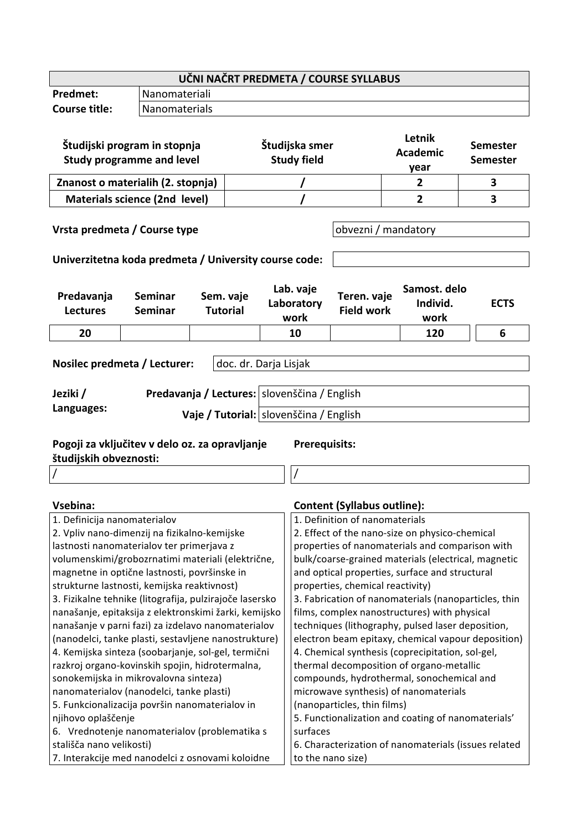| UČNI NAČRT PREDMETA / COURSE SYLLABUS                                                                                                                                                                                                                 |                               |  |                                                                                    |                                                    |                                                                                                      |                                    |                                  |             |  |
|-------------------------------------------------------------------------------------------------------------------------------------------------------------------------------------------------------------------------------------------------------|-------------------------------|--|------------------------------------------------------------------------------------|----------------------------------------------------|------------------------------------------------------------------------------------------------------|------------------------------------|----------------------------------|-------------|--|
| <b>Predmet:</b>                                                                                                                                                                                                                                       | Nanomateriali                 |  |                                                                                    |                                                    |                                                                                                      |                                    |                                  |             |  |
| <b>Course title:</b>                                                                                                                                                                                                                                  | Nanomaterials                 |  |                                                                                    |                                                    |                                                                                                      |                                    |                                  |             |  |
| Študijski program in stopnja<br><b>Study programme and level</b>                                                                                                                                                                                      |                               |  | Študijska smer<br><b>Study field</b>                                               |                                                    | Letnik<br><b>Academic</b><br>year                                                                    | <b>Semester</b><br><b>Semester</b> |                                  |             |  |
| Znanost o materialih (2. stopnja)                                                                                                                                                                                                                     |                               |  |                                                                                    |                                                    |                                                                                                      |                                    | $\mathbf{2}$                     | 3           |  |
|                                                                                                                                                                                                                                                       | Materials science (2nd level) |  |                                                                                    |                                                    |                                                                                                      |                                    | $\overline{2}$                   | 3           |  |
|                                                                                                                                                                                                                                                       |                               |  |                                                                                    |                                                    | obvezni / mandatory                                                                                  |                                    |                                  |             |  |
| Vrsta predmeta / Course type<br>Univerzitetna koda predmeta / University course code:                                                                                                                                                                 |                               |  |                                                                                    |                                                    |                                                                                                      |                                    |                                  |             |  |
| Predavanja<br><b>Lectures</b>                                                                                                                                                                                                                         | Seminar<br><b>Seminar</b>     |  | Sem. vaje<br><b>Tutorial</b>                                                       |                                                    | Lab. vaje<br>Laboratory<br>work                                                                      | Teren. vaje<br><b>Field work</b>   | Samost. delo<br>Individ.<br>work | <b>ECTS</b> |  |
| 20                                                                                                                                                                                                                                                    |                               |  |                                                                                    |                                                    | 10                                                                                                   |                                    | 120                              | 6           |  |
| Nosilec predmeta / Lecturer:<br>doc. dr. Darja Lisjak<br>Predavanja / Lectures:   slovenščina / English<br>Jeziki /<br>Languages:<br>Vaje / Tutorial: slovenščina / English<br>Pogoji za vključitev v delo oz. za opravljanje<br><b>Prerequisits:</b> |                               |  |                                                                                    |                                                    |                                                                                                      |                                    |                                  |             |  |
| študijskih obveznosti:                                                                                                                                                                                                                                |                               |  |                                                                                    |                                                    |                                                                                                      |                                    |                                  |             |  |
|                                                                                                                                                                                                                                                       |                               |  |                                                                                    |                                                    |                                                                                                      |                                    |                                  |             |  |
| <b>Vsebina:</b><br>1. Definicija nanomaterialov                                                                                                                                                                                                       |                               |  |                                                                                    |                                                    | <b>Content (Syllabus outline):</b><br>1. Definition of nanomaterials                                 |                                    |                                  |             |  |
| 2. Vpliv nano-dimenzij na fizikalno-kemijske                                                                                                                                                                                                          |                               |  |                                                                                    |                                                    | 2. Effect of the nano-size on physico-chemical                                                       |                                    |                                  |             |  |
| lastnosti nanomaterialov ter primerjava z                                                                                                                                                                                                             |                               |  |                                                                                    |                                                    | properties of nanomaterials and comparison with                                                      |                                    |                                  |             |  |
| volumenskimi/grobozrnatimi materiali (električne,                                                                                                                                                                                                     |                               |  |                                                                                    |                                                    | bulk/coarse-grained materials (electrical, magnetic                                                  |                                    |                                  |             |  |
| magnetne in optične lastnosti, površinske in                                                                                                                                                                                                          |                               |  |                                                                                    |                                                    | and optical properties, surface and structural                                                       |                                    |                                  |             |  |
| strukturne lastnosti, kemijska reaktivnost)<br>3. Fizikalne tehnike (litografija, pulzirajoče lasersko                                                                                                                                                |                               |  | properties, chemical reactivity)                                                   |                                                    |                                                                                                      |                                    |                                  |             |  |
|                                                                                                                                                                                                                                                       |                               |  |                                                                                    |                                                    | 3. Fabrication of nanomaterials (nanoparticles, thin<br>films, complex nanostructures) with physical |                                    |                                  |             |  |
| nanašanje, epitaksija z elektronskimi žarki, kemijsko<br>nanašanje v parni fazi) za izdelavo nanomaterialov                                                                                                                                           |                               |  | techniques (lithography, pulsed laser deposition,                                  |                                                    |                                                                                                      |                                    |                                  |             |  |
| (nanodelci, tanke plasti, sestavljene nanostrukture)                                                                                                                                                                                                  |                               |  | electron beam epitaxy, chemical vapour deposition)                                 |                                                    |                                                                                                      |                                    |                                  |             |  |
| 4. Kemijska sinteza (soobarjanje, sol-gel, termični                                                                                                                                                                                                   |                               |  | 4. Chemical synthesis (coprecipitation, sol-gel,                                   |                                                    |                                                                                                      |                                    |                                  |             |  |
| razkroj organo-kovinskih spojin, hidrotermalna,                                                                                                                                                                                                       |                               |  | thermal decomposition of organo-metallic                                           |                                                    |                                                                                                      |                                    |                                  |             |  |
| sonokemijska in mikrovalovna sinteza)<br>nanomaterialov (nanodelci, tanke plasti)                                                                                                                                                                     |                               |  | compounds, hydrothermal, sonochemical and<br>microwave synthesis) of nanomaterials |                                                    |                                                                                                      |                                    |                                  |             |  |
| 5. Funkcionalizacija površin nanomaterialov in                                                                                                                                                                                                        |                               |  | (nanoparticles, thin films)                                                        |                                                    |                                                                                                      |                                    |                                  |             |  |
| njihovo oplaščenje                                                                                                                                                                                                                                    |                               |  |                                                                                    | 5. Functionalization and coating of nanomaterials' |                                                                                                      |                                    |                                  |             |  |
| 6. Vrednotenje nanomaterialov (problematika s                                                                                                                                                                                                         |                               |  | surfaces                                                                           |                                                    |                                                                                                      |                                    |                                  |             |  |
| stališča nano velikosti)                                                                                                                                                                                                                              |                               |  | 6. Characterization of nanomaterials (issues related                               |                                                    |                                                                                                      |                                    |                                  |             |  |
| 7. Interakcije med nanodelci z osnovami koloidne                                                                                                                                                                                                      |                               |  |                                                                                    | to the nano size)                                  |                                                                                                      |                                    |                                  |             |  |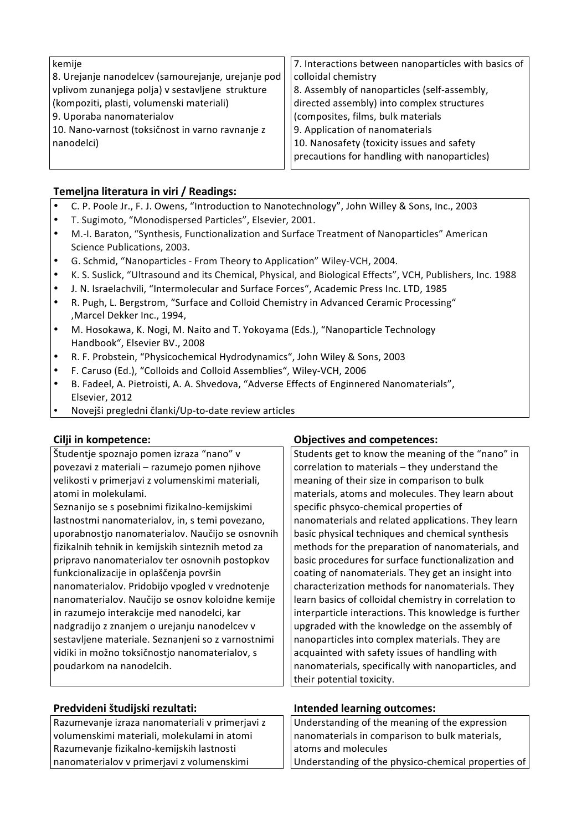| kemije                                             | 7. Interactions between nanoparticles with basics of |
|----------------------------------------------------|------------------------------------------------------|
| 8. Urejanje nanodelcev (samourejanje, urejanje pod | colloidal chemistry                                  |
| vplivom zunanjega polja) v sestavljene strukture   | 8. Assembly of nanoparticles (self-assembly,         |
| (kompoziti, plasti, volumenski materiali)          | directed assembly) into complex structures           |
| 9. Uporaba nanomaterialov                          | (composites, films, bulk materials                   |
| 10. Nano-varnost (toksičnost in varno ravnanje z   | 9. Application of nanomaterials                      |
| nanodelci)                                         | 10. Nanosafety (toxicity issues and safety           |
|                                                    | precautions for handling with nanoparticles)         |

### **Temeljna literatura in viri / Readings:**

- C. P. Poole Jr., F. J. Owens, "Introduction to Nanotechnology", John Willey & Sons, Inc., 2003
- T. Sugimoto, "Monodispersed Particles", Elsevier, 2001.
- M.-I. Baraton, "Synthesis, Functionalization and Surface Treatment of Nanoparticles" American Science Publications, 2003.
- G. Schmid, "Nanoparticles From Theory to Application" Wiley-VCH, 2004.
- K. S. Suslick, "Ultrasound!and!its Chemical, Physical, and Biological Effects", VCH, Publishers, Inc. 1988
- J. N. Israelachvili, "Intermolecular and Surface Forces", Academic Press Inc. LTD, 1985
- R. Pugh, L. Bergstrom, "Surface and Colloid Chemistry in Advanced Ceramic Processing" , Marcel Dekker Inc., 1994,
- M. Hosokawa, K. Nogi, M. Naito and T. Yokoyama (Eds.), "Nanoparticle Technology Handbook", Elsevier BV., 2008
- R. F. Probstein, "Physicochemical Hydrodynamics", John Wiley & Sons, 2003
- F. Caruso (Ed.), "Colloids and Colloid Assemblies", Wiley-VCH, 2006
- B. Fadeel, A. Pietroisti, A. A. Shvedova, "Adverse Effects of Enginnered Nanomaterials", Elsevier, 2012
- Novejši pregledni članki/Up-to-date review articles

Študentje spoznajo pomen izraza "nano" v povezavi z materiali – razumejo pomen njihove velikosti v primerjavi z volumenskimi materiali, atomi in molekulami. Seznanijo se s posebnimi fizikalno-kemijskimi

lastnostmi nanomaterialov, in, s temi povezano, uporabnostjo nanomaterialov. Naučijo se osnovnih fizikalnih tehnik in kemijskih sinteznih metod za pripravo nanomaterialov ter osnovnih postopkov funkcionalizacije in oplaščenja površin nanomaterialov. Pridobijo vpogled v vrednotenje nanomaterialov. Naučijo se osnov koloidne kemije in razumejo interakcije med nanodelci, kar nadgradijo z znanjem o urejanju nanodelcev v sestavljene materiale. Seznanjeni so z varnostnimi vidiki in možno toksičnostjo nanomaterialov, s poudarkom na nanodelcih.

| Razumevanje izraza nanomateriali v primerjavi z |  |  |
|-------------------------------------------------|--|--|
| volumenskimi materiali, molekulami in atomi     |  |  |
| Razumevanje fizikalno-kemijskih lastnosti       |  |  |
| nanomaterialov v primerjavi z volumenskimi      |  |  |

# **Cilji in kompetence: Cilji in kompetences: Objectives and competences:**

Students get to know the meaning of the "nano" in correlation to materials  $-$  they understand the meaning of their size in comparison to bulk materials, atoms and molecules. They learn about specific phsyco-chemical properties of nanomaterials and related applications. They learn basic physical techniques and chemical synthesis methods for the preparation of nanomaterials, and basic procedures for surface functionalization and coating of nanomaterials. They get an insight into characterization methods for nanomaterials. They learn basics of colloidal chemistry in correlation to interparticle interactions. This knowledge is further upgraded with the knowledge on the assembly of nanoparticles into complex materials. They are acquainted with safety issues of handling with nanomaterials, specifically with nanoparticles, and their potential toxicity.

# **Predvideni%študijski%rezultati: Intended%learning%outcomes:**

| Understanding of the meaning of the expression      |
|-----------------------------------------------------|
| nanomaterials in comparison to bulk materials,      |
| atoms and molecules                                 |
| Understanding of the physico-chemical properties of |